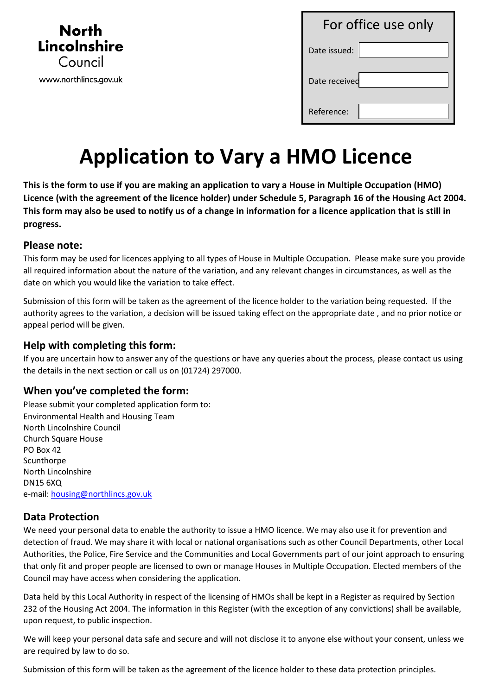

| For office use only |  |
|---------------------|--|
| Date issued:        |  |
| Date received       |  |
| Reference:          |  |

# **Application to Vary a HMO Licence**

**This is the form to use if you are making an application to vary a House in Multiple Occupation (HMO) Licence (with the agreement of the licence holder) under Schedule 5, Paragraph 16 of the Housing Act 2004. This form may also be used to notify us of a change in information for a licence application that is still in progress.**

#### **Please note:**

This form may be used for licences applying to all types of House in Multiple Occupation. Please make sure you provide all required information about the nature of the variation, and any relevant changes in circumstances, as well as the date on which you would like the variation to take effect.

Submission of this form will be taken as the agreement of the licence holder to the variation being requested. If the authority agrees to the variation, a decision will be issued taking effect on the appropriate date , and no prior notice or appeal period will be given.

#### **Help with completing this form:**

If you are uncertain how to answer any of the questions or have any queries about the process, please contact us using the details in the next section or call us on (01724) 297000.

### **When you've completed the form:**

Please submit your completed application form to: Environmental Health and Housing Team North Lincolnshire Council Church Square House PO Box 42 **Scunthorpe** North Lincolnshire DN15 6XQ e-mail[: housing@northlincs.gov.uk](mailto:housing@northlincs.gov.uk) 

### **Data Protection**

We need your personal data to enable the authority to issue a HMO licence. We may also use it for prevention and detection of fraud. We may share it with local or national organisations such as other Council Departments, other Local Authorities, the Police, Fire Service and the Communities and Local Governments part of our joint approach to ensuring that only fit and proper people are licensed to own or manage Houses in Multiple Occupation. Elected members of the Council may have access when considering the application.

Data held by this Local Authority in respect of the licensing of HMOs shall be kept in a Register as required by Section 232 of the Housing Act 2004. The information in this Register (with the exception of any convictions) shall be available, upon request, to public inspection.

We will keep your personal data safe and secure and will not disclose it to anyone else without your consent, unless we are required by law to do so.

Submission of this form will be taken as the agreement of the licence holder to these data protection principles.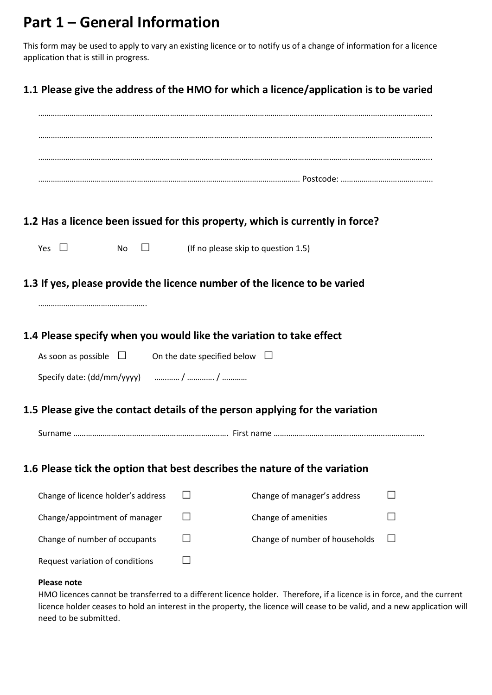## **Part 1 – General Information**

This form may be used to apply to vary an existing licence or to notify us of a change of information for a licence application that is still in progress.

## **1.1 Please give the address of the HMO for which a licence/application is to be varied**

|                                                                     | 1.2 Has a licence been issued for this property, which is currently in force? |  |
|---------------------------------------------------------------------|-------------------------------------------------------------------------------|--|
| Yes $\Box$<br>$\Box$<br>No                                          | (If no please skip to question 1.5)                                           |  |
|                                                                     | 1.3 If yes, please provide the licence number of the licence to be varied     |  |
|                                                                     |                                                                               |  |
|                                                                     |                                                                               |  |
| 1.4 Please specify when you would like the variation to take effect |                                                                               |  |
| As soon as possible $\Box$                                          | On the date specified below $\Box$                                            |  |
|                                                                     |                                                                               |  |
|                                                                     | 1.5 Please give the contact details of the person applying for the variation  |  |
|                                                                     |                                                                               |  |
|                                                                     |                                                                               |  |
|                                                                     | 1.6 Please tick the option that best describes the nature of the variation    |  |
| Change of licence holder's address                                  | Change of manager's address                                                   |  |
| Change/appointment of manager                                       | Change of amenities                                                           |  |
| Change of number of occupants                                       | Change of number of households                                                |  |
| Request variation of conditions                                     |                                                                               |  |

#### **Please note**

HMO licences cannot be transferred to a different licence holder. Therefore, if a licence is in force, and the current licence holder ceases to hold an interest in the property, the licence will cease to be valid, and a new application will need to be submitted.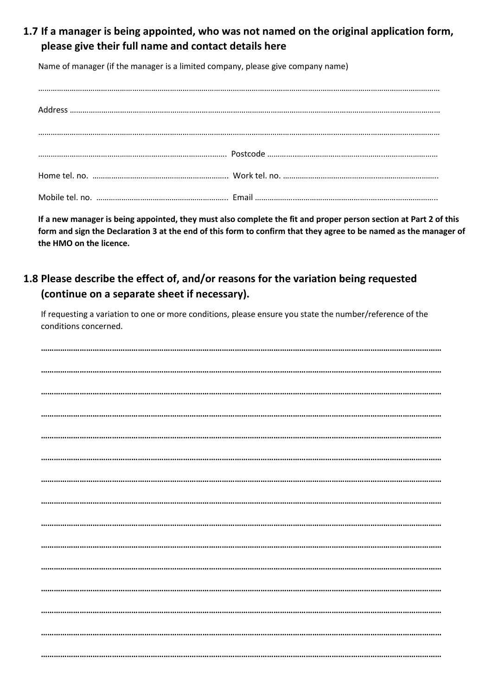**1.7 If a manager is being appointed, who was not named on the original application form, please give their full name and contact details here**

Name of manager (if the manager is a limited company, please give company name)

**If a new manager is being appointed, they must also complete the fit and proper person section at Part 2 of this form and sign the Declaration 3 at the end of this form to confirm that they agree to be named as the manager of the HMO on the licence.**

## **1.8 Please describe the effect of, and/or reasons for the variation being requested (continue on a separate sheet if necessary).**

If requesting a variation to one or more conditions, please ensure you state the number/reference of the conditions concerned.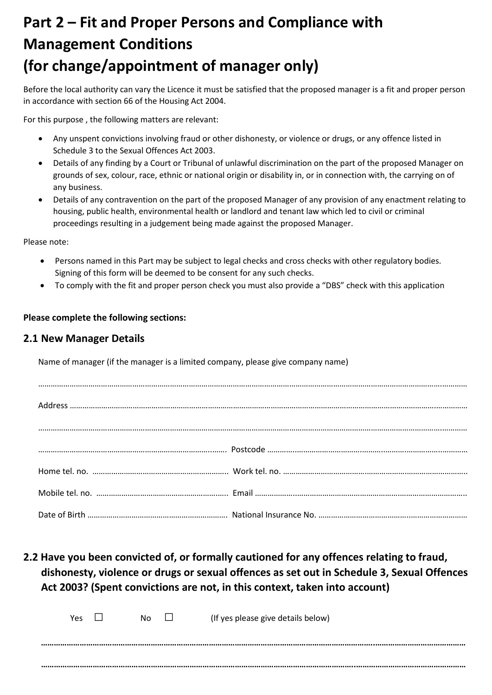## **Part 2 – Fit and Proper Persons and Compliance with Management Conditions (for change/appointment of manager only)**

Before the local authority can vary the Licence it must be satisfied that the proposed manager is a fit and proper person in accordance with section 66 of the Housing Act 2004.

For this purpose , the following matters are relevant:

- Any unspent convictions involving fraud or other dishonesty, or violence or drugs, or any offence listed in Schedule 3 to the Sexual Offences Act 2003.
- Details of any finding by a Court or Tribunal of unlawful discrimination on the part of the proposed Manager on grounds of sex, colour, race, ethnic or national origin or disability in, or in connection with, the carrying on of any business.
- Details of any contravention on the part of the proposed Manager of any provision of any enactment relating to housing, public health, environmental health or landlord and tenant law which led to civil or criminal proceedings resulting in a judgement being made against the proposed Manager.

Please note:

- Persons named in this Part may be subject to legal checks and cross checks with other regulatory bodies. Signing of this form will be deemed to be consent for any such checks.
- To comply with the fit and proper person check you must also provide a "DBS" check with this application

#### **Please complete the following sections:**

#### **2.1 New Manager Details**

Name of manager (if the manager is a limited company, please give company name)

**2.2 Have you been convicted of, or formally cautioned for any offences relating to fraud, dishonesty, violence or drugs or sexual offences as set out in Schedule 3, Sexual Offences Act 2003? (Spent convictions are not, in this context, taken into account)**

| <b>Yes</b> | No. | $\blacksquare$ | (If yes please give details below) |
|------------|-----|----------------|------------------------------------|
|            |     |                |                                    |
|            |     |                |                                    |
|            |     |                |                                    |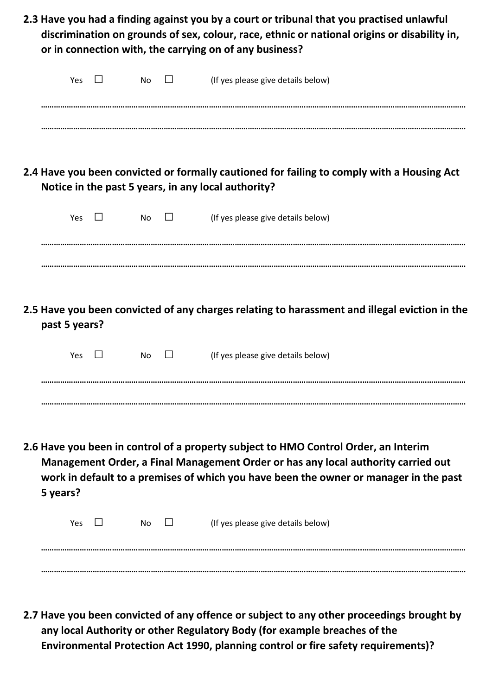|               |     |     | discrimination on grounds of sex, colour, race, ethnic or national origins or disability in,<br>or in connection with, the carrying on of any business?                                                                                                           |
|---------------|-----|-----|-------------------------------------------------------------------------------------------------------------------------------------------------------------------------------------------------------------------------------------------------------------------|
|               | Yes | No  | (If yes please give details below)                                                                                                                                                                                                                                |
|               |     |     | 2.4 Have you been convicted or formally cautioned for failing to comply with a Housing Act<br>Notice in the past 5 years, in any local authority?                                                                                                                 |
|               | Yes | No. | (If yes please give details below)                                                                                                                                                                                                                                |
| past 5 years? |     |     | 2.5 Have you been convicted of any charges relating to harassment and illegal eviction in the                                                                                                                                                                     |
|               | Yes | No. | (If yes please give details below)                                                                                                                                                                                                                                |
|               |     |     | 2.6 Have you been in control of a property subject to HMO Control Order, an Interim<br>Management Order, a Final Management Order or has any local authority carried out<br>work in default to a premises of which you have been the owner or manager in the past |
| 5 years?      |     |     |                                                                                                                                                                                                                                                                   |

**2.7 Have you been convicted of any offence or subject to any other proceedings brought by any local Authority or other Regulatory Body (for example breaches of the Environmental Protection Act 1990, planning control or fire safety requirements)?**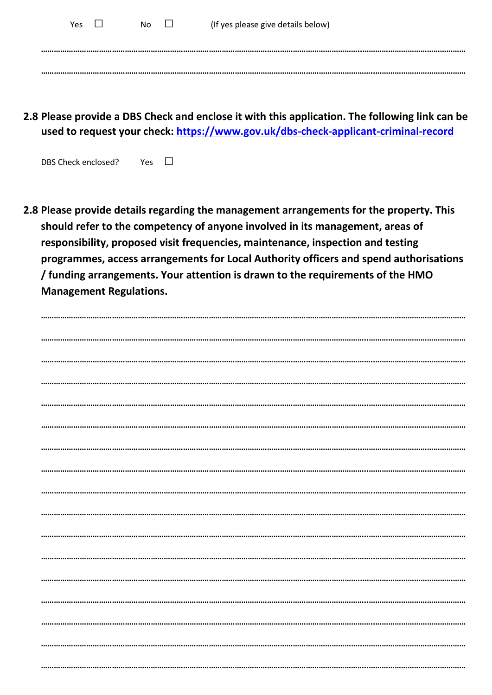| Yes | No. | $\mathsf{L}$ | (If yes please give details below) |
|-----|-----|--------------|------------------------------------|
|     |     |              |                                    |
|     |     |              |                                    |

**2.8 Please provide a DBS Check and enclose it with this application. The following link can be used to request your check:<https://www.gov.uk/dbs-check-applicant-criminal-record>**

DBS Check enclosed? Yes  $\square$ 

**2.8 Please provide details regarding the management arrangements for the property. This should refer to the competency of anyone involved in its management, areas of responsibility, proposed visit frequencies, maintenance, inspection and testing programmes, access arrangements for Local Authority officers and spend authorisations / funding arrangements. Your attention is drawn to the requirements of the HMO Management Regulations.**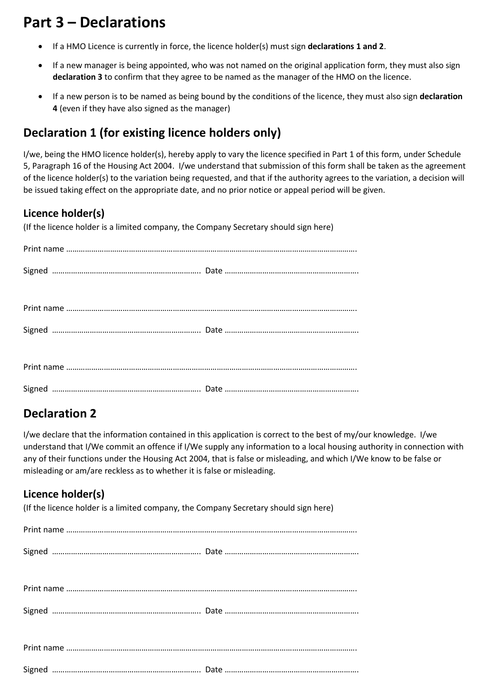## **Part 3 – Declarations**

- If a HMO Licence is currently in force, the licence holder(s) must sign **declarations 1 and 2**.
- If a new manager is being appointed, who was not named on the original application form, they must also sign **declaration 3** to confirm that they agree to be named as the manager of the HMO on the licence.
- If a new person is to be named as being bound by the conditions of the licence, they must also sign **declaration 4** (even if they have also signed as the manager)

## **Declaration 1 (for existing licence holders only)**

I/we, being the HMO licence holder(s), hereby apply to vary the licence specified in Part 1 of this form, under Schedule 5, Paragraph 16 of the Housing Act 2004. I/we understand that submission of this form shall be taken as the agreement of the licence holder(s) to the variation being requested, and that if the authority agrees to the variation, a decision will be issued taking effect on the appropriate date, and no prior notice or appeal period will be given.

## **Licence holder(s)**

(If the licence holder is a limited company, the Company Secretary should sign here)

## **Declaration 2**

I/we declare that the information contained in this application is correct to the best of my/our knowledge. I/we understand that I/We commit an offence if I/We supply any information to a local housing authority in connection with any of their functions under the Housing Act 2004, that is false or misleading, and which I/We know to be false or misleading or am/are reckless as to whether it is false or misleading.

## **Licence holder(s)**

(If the licence holder is a limited company, the Company Secretary should sign here)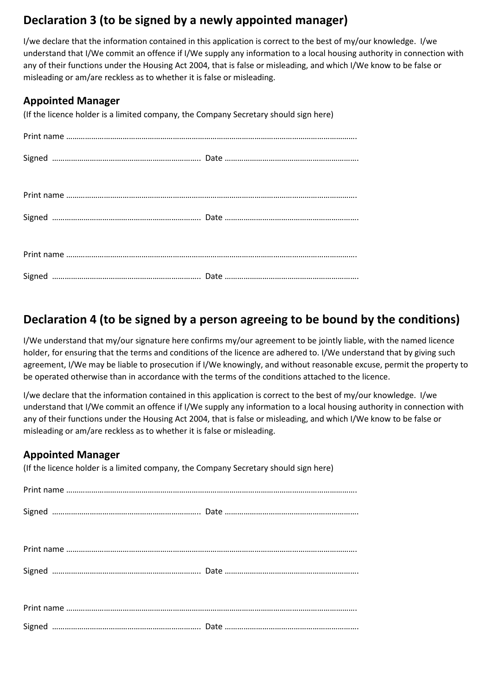## **Declaration 3 (to be signed by a newly appointed manager)**

I/we declare that the information contained in this application is correct to the best of my/our knowledge. I/we understand that I/We commit an offence if I/We supply any information to a local housing authority in connection with any of their functions under the Housing Act 2004, that is false or misleading, and which I/We know to be false or misleading or am/are reckless as to whether it is false or misleading.

### **Appointed Manager**

(If the licence holder is a limited company, the Company Secretary should sign here)

## **Declaration 4 (to be signed by a person agreeing to be bound by the conditions)**

I/We understand that my/our signature here confirms my/our agreement to be jointly liable, with the named licence holder, for ensuring that the terms and conditions of the licence are adhered to. I/We understand that by giving such agreement, I/We may be liable to prosecution if I/We knowingly, and without reasonable excuse, permit the property to be operated otherwise than in accordance with the terms of the conditions attached to the licence.

I/we declare that the information contained in this application is correct to the best of my/our knowledge. I/we understand that I/We commit an offence if I/We supply any information to a local housing authority in connection with any of their functions under the Housing Act 2004, that is false or misleading, and which I/We know to be false or misleading or am/are reckless as to whether it is false or misleading.

### **Appointed Manager**

(If the licence holder is a limited company, the Company Secretary should sign here)